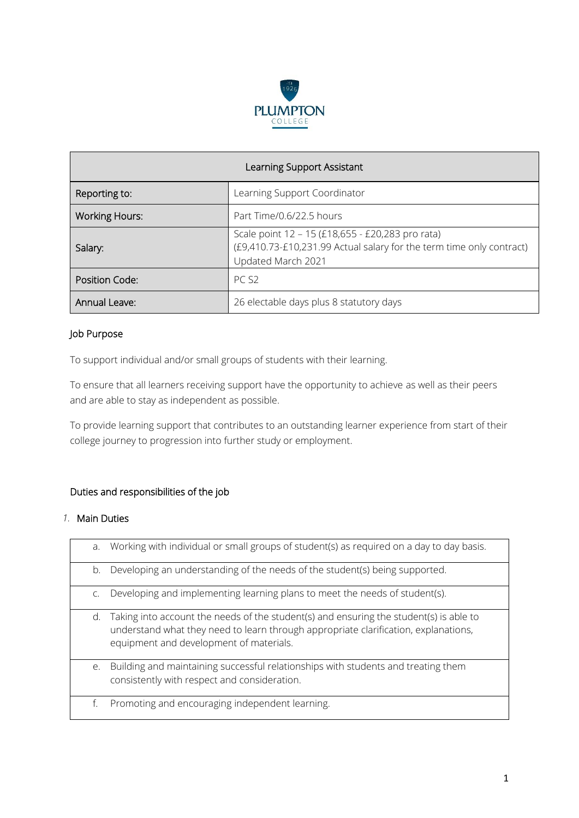

| Learning Support Assistant |                                                                                                                                                |  |
|----------------------------|------------------------------------------------------------------------------------------------------------------------------------------------|--|
| Reporting to:              | Learning Support Coordinator                                                                                                                   |  |
| <b>Working Hours:</b>      | Part Time/0.6/22.5 hours                                                                                                                       |  |
| Salary:                    | Scale point 12 - 15 (£18,655 - £20,283 pro rata)<br>(£9,410.73-£10,231.99 Actual salary for the term time only contract)<br>Updated March 2021 |  |
| Position Code:             | PC <sub>S2</sub>                                                                                                                               |  |
| Annual Leave:              | 26 electable days plus 8 statutory days                                                                                                        |  |

# Job Purpose

To support individual and/or small groups of students with their learning.

To ensure that all learners receiving support have the opportunity to achieve as well as their peers and are able to stay as independent as possible.

To provide learning support that contributes to an outstanding learner experience from start of their college journey to progression into further study or employment.

#### Duties and responsibilities of the job

#### *1.* Main Duties

| a. | Working with individual or small groups of student(s) as required on a day to day basis.                                                                                                                                 |
|----|--------------------------------------------------------------------------------------------------------------------------------------------------------------------------------------------------------------------------|
| b. | Developing an understanding of the needs of the student(s) being supported.                                                                                                                                              |
| C. | Developing and implementing learning plans to meet the needs of student(s).                                                                                                                                              |
| d. | Taking into account the needs of the student(s) and ensuring the student(s) is able to<br>understand what they need to learn through appropriate clarification, explanations,<br>equipment and development of materials. |
| e. | Building and maintaining successful relationships with students and treating them<br>consistently with respect and consideration.                                                                                        |
| f. | Promoting and encouraging independent learning.                                                                                                                                                                          |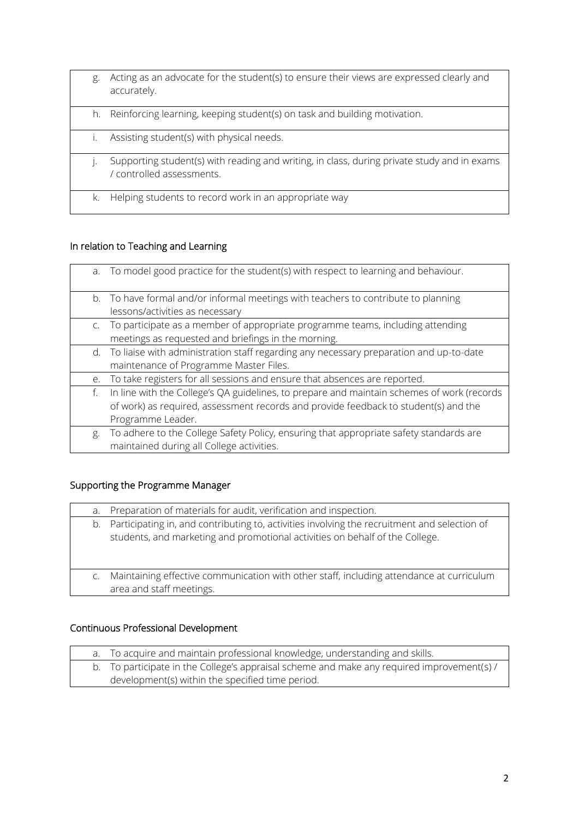g. Acting as an advocate for the student(s) to ensure their views are expressed clearly and accurately. h. Reinforcing learning, keeping student(s) on task and building motivation. i. Assisting student(s) with physical needs. j. Supporting student(s) with reading and writing, in class, during private study and in exams / controlled assessments. k. Helping students to record work in an appropriate way

### In relation to Teaching and Learning

|    | a. To model good practice for the student(s) with respect to learning and behaviour.       |
|----|--------------------------------------------------------------------------------------------|
|    | b. To have formal and/or informal meetings with teachers to contribute to planning         |
|    | lessons/activities as necessary                                                            |
|    | c. To participate as a member of appropriate programme teams, including attending          |
|    | meetings as requested and briefings in the morning.                                        |
|    | d. To liaise with administration staff regarding any necessary preparation and up-to-date  |
|    | maintenance of Programme Master Files.                                                     |
| e. | To take registers for all sessions and ensure that absences are reported.                  |
| f. | In line with the College's QA guidelines, to prepare and maintain schemes of work (records |
|    | of work) as required, assessment records and provide feedback to student(s) and the        |
|    | Programme Leader.                                                                          |
| g. | To adhere to the College Safety Policy, ensuring that appropriate safety standards are     |
|    | maintained during all College activities.                                                  |

# Supporting the Programme Manager

| а. | Preparation of materials for audit, verification and inspection.                                                                                                                |
|----|---------------------------------------------------------------------------------------------------------------------------------------------------------------------------------|
|    | b. Participating in, and contributing to, activities involving the recruitment and selection of<br>students, and marketing and promotional activities on behalf of the College. |
|    | Maintaining effective communication with other staff, including attendance at curriculum<br>area and staff meetings.                                                            |

# Continuous Professional Development

|  | a. To acquire and maintain professional knowledge, understanding and skills.               |
|--|--------------------------------------------------------------------------------------------|
|  | b. To participate in the College's appraisal scheme and make any required improvement(s) / |
|  | development(s) within the specified time period.                                           |
|  |                                                                                            |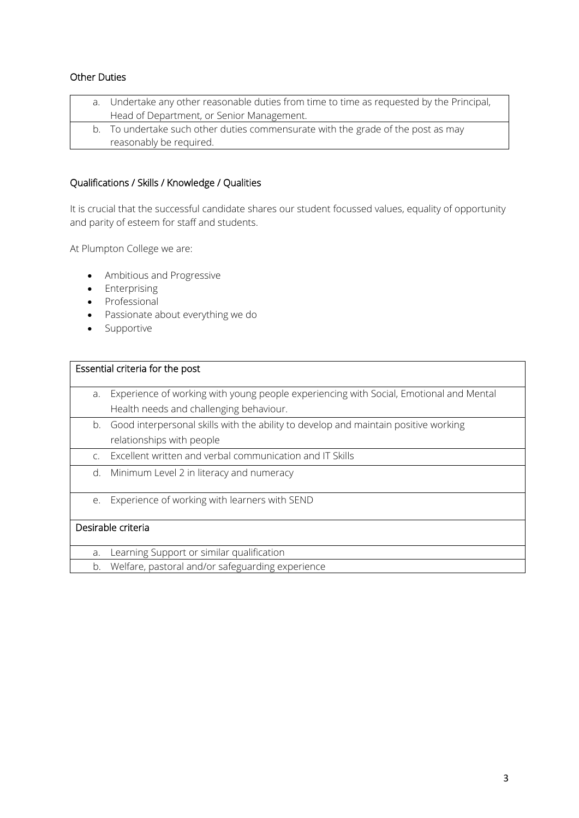### Other Duties

|  | a. Undertake any other reasonable duties from time to time as requested by the Principal, |
|--|-------------------------------------------------------------------------------------------|
|  | Head of Department, or Senior Management.                                                 |
|  | b. To undertake such other duties commensurate with the grade of the post as may          |
|  | reasonably be required.                                                                   |

# Qualifications / Skills / Knowledge / Qualities

It is crucial that the successful candidate shares our student focussed values, equality of opportunity and parity of esteem for staff and students.

At Plumpton College we are:

- Ambitious and Progressive
- Enterprising
- Professional
- Passionate about everything we do
- Supportive

| Essential criteria for the post |                                                                                        |
|---------------------------------|----------------------------------------------------------------------------------------|
|                                 |                                                                                        |
| a.                              | Experience of working with young people experiencing with Social, Emotional and Mental |
|                                 | Health needs and challenging behaviour.                                                |
| b.                              | Good interpersonal skills with the ability to develop and maintain positive working    |
|                                 | relationships with people                                                              |
| $\mathsf{C}$ .                  | Excellent written and verbal communication and IT Skills                               |
| d.                              | Minimum Level 2 in literacy and numeracy                                               |
| e.                              | Experience of working with learners with SEND                                          |
| Desirable criteria              |                                                                                        |
| a.                              | Learning Support or similar qualification                                              |
| b.                              | Welfare, pastoral and/or safeguarding experience                                       |